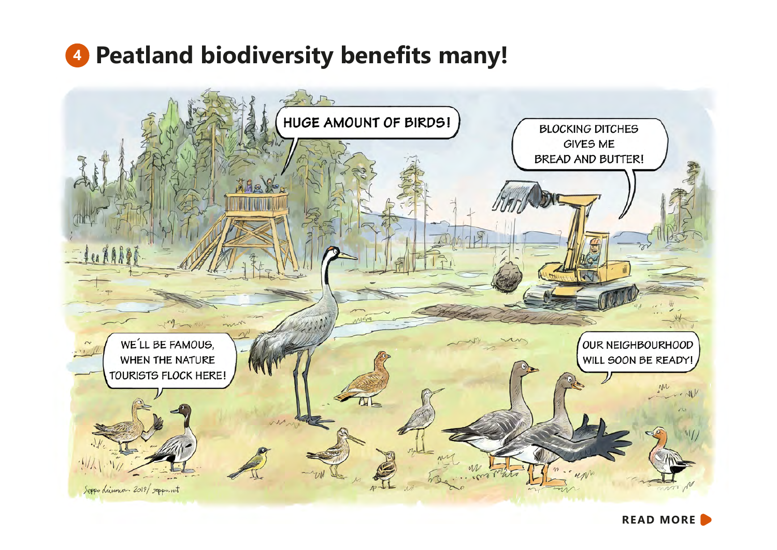## **<sup>4</sup> Peatland biodiversity benefits many!**